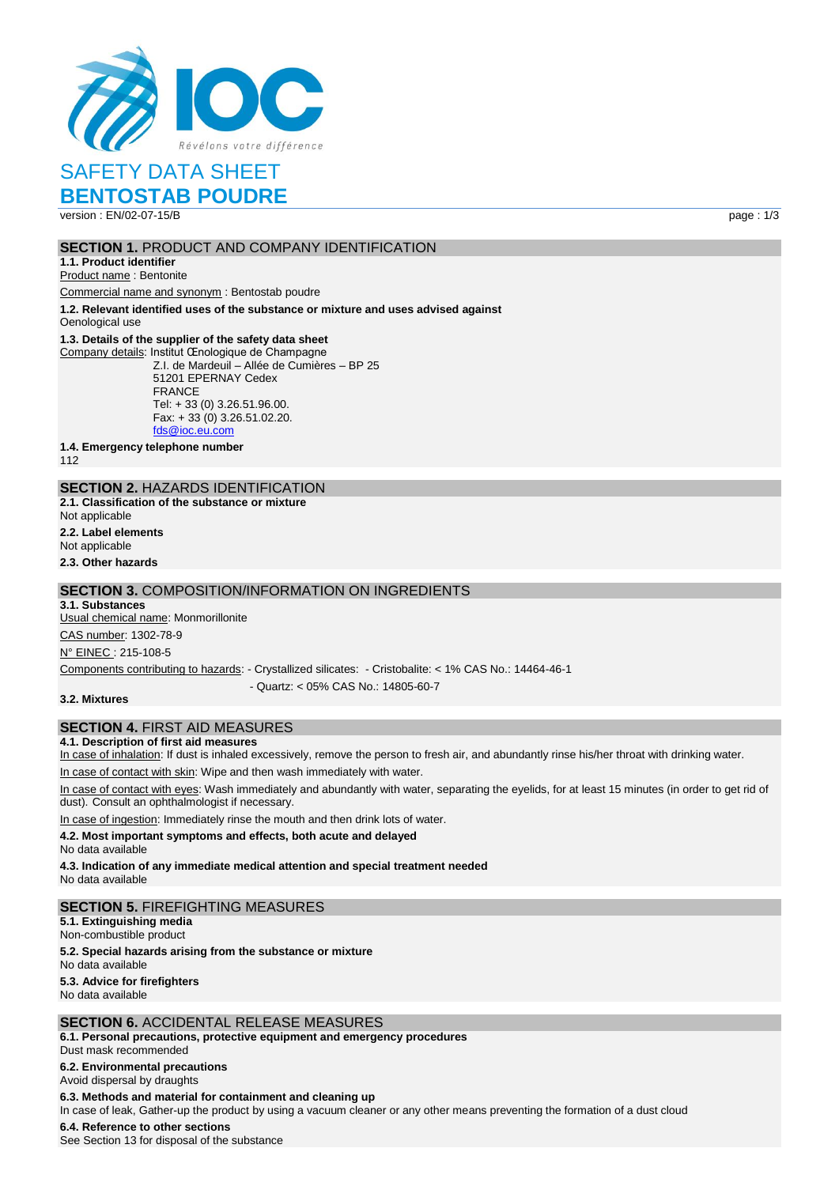

# SAFETY DATA SHEET

## **BENTOSTAB POUDRE**

version : EN/02-07-15/B page : 1/3

#### **SECTION 1. PRODUCT AND COMPANY IDENTIFICATION**

## **1.1. Product identifier**

Product name : Bentonite

Commercial name and synonym : Bentostab poudre

**1.2. Relevant identified uses of the substance or mixture and uses advised against**

Oenological use

#### **1.3. Details of the supplier of the safety data sheet**

Company details: Institut Œnologique de Champagne Z.I. de Mardeuil – Allée de Cumières – BP 25 51201 EPERNAY Cedex FRANCE Tel: + 33 (0) 3.26.51.96.00. Fax: + 33 (0) 3.26.51.02.20. [fds@ioc.eu.com](mailto:fds@ioc.eu.com)

**1.4. Emergency telephone number**

112

## **SECTION 2.** HAZARDS IDENTIFICATION

**2.1. Classification of the substance or mixture** Not applicable

**2.2. Label elements**

Not applicable

**2.3. Other hazards**

## **SECTION 3.** COMPOSITION/INFORMATION ON INGREDIENTS

#### **3.1. Substances**

Usual chemical name: Monmorillonite CAS number: 1302-78-9

N° EINEC : 215-108-5

Components contributing to hazards: - Crystallized silicates: - Cristobalite: < 1% CAS No.: 14464-46-1

- Quartz: < 05% CAS No.: 14805-60-7

**3.2. Mixtures**

## **SECTION 4.** FIRST AID MEASURES

#### **4.1. Description of first aid measures**

In case of inhalation: If dust is inhaled excessively, remove the person to fresh air, and abundantly rinse his/her throat with drinking water.

In case of contact with skin: Wipe and then wash immediately with water.

In case of contact with eyes: Wash immediately and abundantly with water, separating the eyelids, for at least 15 minutes (in order to get rid of dust). Consult an ophthalmologist if necessary.

In case of ingestion: Immediately rinse the mouth and then drink lots of water.

**4.2. Most important symptoms and effects, both acute and delayed**

No data available

**4.3. Indication of any immediate medical attention and special treatment needed** No data available

## **SECTION 5.** FIREFIGHTING MEASURES

**5.1. Extinguishing media**

Non-combustible product

**5.2. Special hazards arising from the substance or mixture**

No data available

#### **5.3. Advice for firefighters**

No data available

#### **SECTION 6.** ACCIDENTAL RELEASE MEASURES

**6.1. Personal precautions, protective equipment and emergency procedures** Dust mask recommended

**6.2. Environmental precautions**

Avoid dispersal by draughts

**6.3. Methods and material for containment and cleaning up** In case of leak, Gather-up the product by using a vacuum cleaner or any other means preventing the formation of a dust cloud **6.4. Reference to other sections**

See Section 13 for disposal of the substance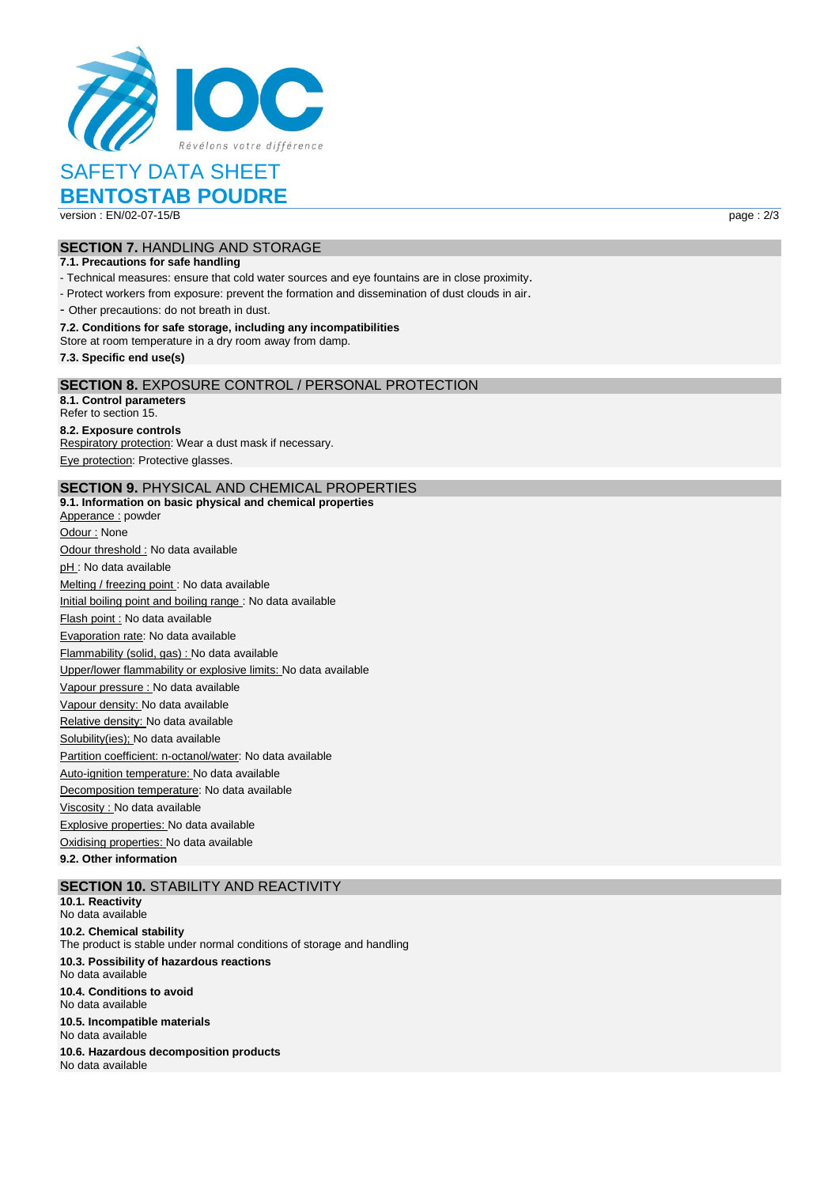

# SAFETY DATA SHEET

## **BENTOSTAB POUDRE** version : EN/02-07-15/B page : 2/3

**SECTION 7.** HANDLING AND STORAGE

#### **7.1. Precautions for safe handling**

- Technical measures: ensure that cold water sources and eye fountains are in close proximity.

- Protect workers from exposure: prevent the formation and dissemination of dust clouds in air.

- Other precautions: do not breath in dust.

#### **7.2. Conditions for safe storage, including any incompatibilities**

Store at room temperature in a dry room away from damp.

**7.3. Specific end use(s)**

#### **SECTION 8.** EXPOSURE CONTROL / PERSONAL PROTECTION

**8.1. Control parameters** Refer to section 15. **8.2. Exposure controls** Respiratory protection: Wear a dust mask if necessary. Eye protection: Protective glasses.

#### **SECTION 9.** PHYSICAL AND CHEMICAL PROPERTIES

**9.1. Information on basic physical and chemical properties** Apperance : powder Odour : None Odour threshold : No data available pH: No data available Melting / freezing point : No data available Initial boiling point and boiling range : No data available Flash point : No data available Evaporation rate: No data available Flammability (solid, gas) : No data available Upper/lower flammability or explosive limits: No data available Vapour pressure : No data available Vapour density: No data available Relative density: No data available Solubility(ies); No data available Partition coefficient: n-octanol/water: No data available Auto-ignition temperature: No data available Decomposition temperature: No data available Viscosity : No data available Explosive properties: No data available Oxidising properties: No data available **9.2. Other information**

#### **SECTION 10. STABILITY AND REACTIVITY**

**10.1. Reactivity** No data available **10.2. Chemical stability** The product is stable under normal conditions of storage and handling **10.3. Possibility of hazardous reactions** No data available **10.4. Conditions to avoid** No data available **10.5. Incompatible materials** No data available **10.6. Hazardous decomposition products** No data available